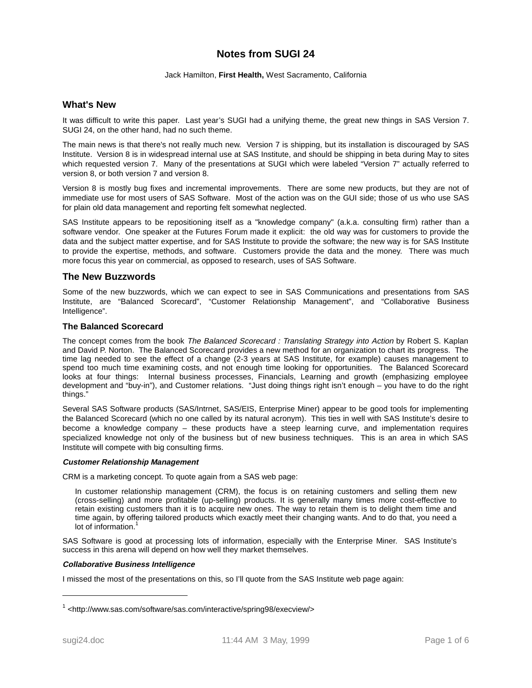# **Notes from SUGI 24**

#### Jack Hamilton, **First Health,** West Sacramento, California

# **What's New**

It was difficult to write this paper. Last year's SUGI had a unifying theme, the great new things in SAS Version 7. SUGI 24, on the other hand, had no such theme.

The main news is that there's not really much new. Version 7 is shipping, but its installation is discouraged by SAS Institute. Version 8 is in widespread internal use at SAS Institute, and should be shipping in beta during May to sites which requested version 7. Many of the presentations at SUGI which were labeled "Version 7" actually referred to version 8, or both version 7 and version 8.

Version 8 is mostly bug fixes and incremental improvements. There are some new products, but they are not of immediate use for most users of SAS Software. Most of the action was on the GUI side; those of us who use SAS for plain old data management and reporting felt somewhat neglected.

SAS Institute appears to be repositioning itself as a "knowledge company" (a.k.a. consulting firm) rather than a software vendor. One speaker at the Futures Forum made it explicit: the old way was for customers to provide the data and the subject matter expertise, and for SAS Institute to provide the software; the new way is for SAS Institute to provide the expertise, methods, and software. Customers provide the data and the money. There was much more focus this year on commercial, as opposed to research, uses of SAS Software.

# **The New Buzzwords**

Some of the new buzzwords, which we can expect to see in SAS Communications and presentations from SAS Institute, are "Balanced Scorecard", "Customer Relationship Management", and "Collaborative Business Intelligence".

## **The Balanced Scorecard**

The concept comes from the book The Balanced Scorecard : Translating Strategy into Action by Robert S. Kaplan and David P. Norton. The Balanced Scorecard provides a new method for an organization to chart its progress. The time lag needed to see the effect of a change (2-3 years at SAS Institute, for example) causes management to spend too much time examining costs, and not enough time looking for opportunities. The Balanced Scorecard looks at four things: Internal business processes, Financials, Learning and growth (emphasizing employee development and "buy-in"), and Customer relations. "Just doing things right isn't enough – you have to do the right things."

Several SAS Software products (SAS/Intrnet, SAS/EIS, Enterprise Miner) appear to be good tools for implementing the Balanced Scorecard (which no one called by its natural acronym). This ties in well with SAS Institute's desire to become a knowledge company – these products have a steep learning curve, and implementation requires specialized knowledge not only of the business but of new business techniques. This is an area in which SAS Institute will compete with big consulting firms.

#### **Customer Relationship Management**

CRM is a marketing concept. To quote again from a SAS web page:

In customer relationship management (CRM), the focus is on retaining customers and selling them new (cross-selling) and more profitable (up-selling) products. It is generally many times more cost-effective to retain existing customers than it is to acquire new ones. The way to retain them is to delight them time and time again, by offering tailored products which exactly meet their changing wants. And to do that, you need a lot of information.<sup>1</sup>

SAS Software is good at processing lots of information, especially with the Enterprise Miner. SAS Institute's success in this arena will depend on how well they market themselves.

#### **Collaborative Business Intelligence**

I missed the most of the presentations on this, so I'll quote from the SAS Institute web page again:

<sup>1</sup> <http://www.sas.com/software/sas.com/interactive/spring98/execview/>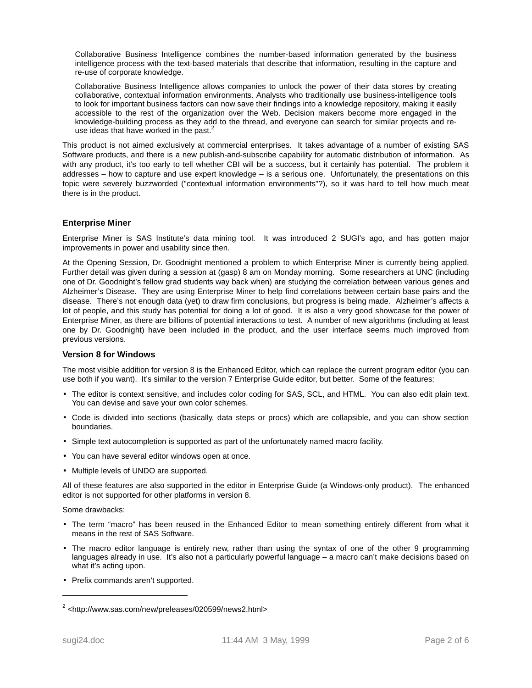Collaborative Business Intelligence combines the number-based information generated by the business intelligence process with the text-based materials that describe that information, resulting in the capture and re-use of corporate knowledge.

Collaborative Business Intelligence allows companies to unlock the power of their data stores by creating collaborative, contextual information environments. Analysts who traditionally use business-intelligence tools to look for important business factors can now save their findings into a knowledge repository, making it easily accessible to the rest of the organization over the Web. Decision makers become more engaged in the knowledge-building process as they add to the thread, and everyone can search for similar projects and reuse ideas that have worked in the past. $2^2$ 

This product is not aimed exclusively at commercial enterprises. It takes advantage of a number of existing SAS Software products, and there is a new publish-and-subscribe capability for automatic distribution of information. As with any product, it's too early to tell whether CBI will be a success, but it certainly has potential. The problem it addresses – how to capture and use expert knowledge – is a serious one. Unfortunately, the presentations on this topic were severely buzzworded ("contextual information environments"?), so it was hard to tell how much meat there is in the product.

# **Enterprise Miner**

Enterprise Miner is SAS Institute's data mining tool. It was introduced 2 SUGI's ago, and has gotten major improvements in power and usability since then.

At the Opening Session, Dr. Goodnight mentioned a problem to which Enterprise Miner is currently being applied. Further detail was given during a session at (gasp) 8 am on Monday morning. Some researchers at UNC (including one of Dr. Goodnight's fellow grad students way back when) are studying the correlation between various genes and Alzheimer's Disease. They are using Enterprise Miner to help find correlations between certain base pairs and the disease. There's not enough data (yet) to draw firm conclusions, but progress is being made. Alzheimer's affects a lot of people, and this study has potential for doing a lot of good. It is also a very good showcase for the power of Enterprise Miner, as there are billions of potential interactions to test. A number of new algorithms (including at least one by Dr. Goodnight) have been included in the product, and the user interface seems much improved from previous versions.

# **Version 8 for Windows**

The most visible addition for version 8 is the Enhanced Editor, which can replace the current program editor (you can use both if you want). It's similar to the version 7 Enterprise Guide editor, but better. Some of the features:

- The editor is context sensitive, and includes color coding for SAS, SCL, and HTML. You can also edit plain text. You can devise and save your own color schemes.
- Code is divided into sections (basically, data steps or procs) which are collapsible, and you can show section boundaries.
- Simple text autocompletion is supported as part of the unfortunately named macro facility.
- You can have several editor windows open at once.
- Multiple levels of UNDO are supported.

All of these features are also supported in the editor in Enterprise Guide (a Windows-only product). The enhanced editor is not supported for other platforms in version 8.

Some drawbacks:

- The term "macro" has been reused in the Enhanced Editor to mean something entirely different from what it means in the rest of SAS Software.
- The macro editor language is entirely new, rather than using the syntax of one of the other 9 programming languages already in use. It's also not a particularly powerful language – a macro can't make decisions based on what it's acting upon.
- Prefix commands aren't supported.

<sup>2</sup> <http://www.sas.com/new/preleases/020599/news2.html>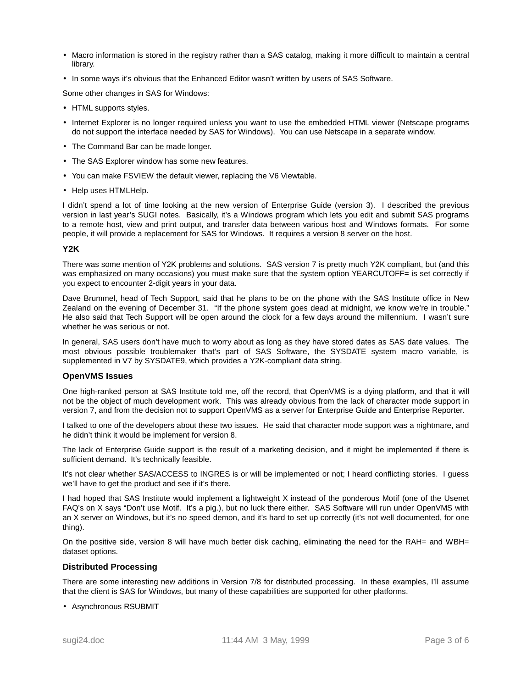- Macro information is stored in the registry rather than a SAS catalog, making it more difficult to maintain a central library.
- In some ways it's obvious that the Enhanced Editor wasn't written by users of SAS Software.

Some other changes in SAS for Windows:

- HTML supports styles.
- Internet Explorer is no longer required unless you want to use the embedded HTML viewer (Netscape programs do not support the interface needed by SAS for Windows). You can use Netscape in a separate window.
- The Command Bar can be made longer.
- The SAS Explorer window has some new features.
- You can make FSVIEW the default viewer, replacing the V6 Viewtable.
- Help uses HTMLHelp.

I didn't spend a lot of time looking at the new version of Enterprise Guide (version 3). I described the previous version in last year's SUGI notes. Basically, it's a Windows program which lets you edit and submit SAS programs to a remote host, view and print output, and transfer data between various host and Windows formats. For some people, it will provide a replacement for SAS for Windows. It requires a version 8 server on the host.

#### **Y2K**

There was some mention of Y2K problems and solutions. SAS version 7 is pretty much Y2K compliant, but (and this was emphasized on many occasions) you must make sure that the system option YEARCUTOFF= is set correctly if you expect to encounter 2-digit years in your data.

Dave Brummel, head of Tech Support, said that he plans to be on the phone with the SAS Institute office in New Zealand on the evening of December 31. "If the phone system goes dead at midnight, we know we're in trouble." He also said that Tech Support will be open around the clock for a few days around the millennium. I wasn't sure whether he was serious or not.

In general, SAS users don't have much to worry about as long as they have stored dates as SAS date values. The most obvious possible troublemaker that's part of SAS Software, the SYSDATE system macro variable, is supplemented in V7 by SYSDATE9, which provides a Y2K-compliant data string.

## **OpenVMS Issues**

One high-ranked person at SAS Institute told me, off the record, that OpenVMS is a dying platform, and that it will not be the object of much development work. This was already obvious from the lack of character mode support in version 7, and from the decision not to support OpenVMS as a server for Enterprise Guide and Enterprise Reporter.

I talked to one of the developers about these two issues. He said that character mode support was a nightmare, and he didn't think it would be implement for version 8.

The lack of Enterprise Guide support is the result of a marketing decision, and it might be implemented if there is sufficient demand. It's technically feasible.

It's not clear whether SAS/ACCESS to INGRES is or will be implemented or not; I heard conflicting stories. I guess we'll have to get the product and see if it's there.

I had hoped that SAS Institute would implement a lightweight X instead of the ponderous Motif (one of the Usenet FAQ's on X says "Don't use Motif. It's a pig.), but no luck there either. SAS Software will run under OpenVMS with an X server on Windows, but it's no speed demon, and it's hard to set up correctly (it's not well documented, for one thing).

On the positive side, version 8 will have much better disk caching, eliminating the need for the RAH= and WBH= dataset options.

## **Distributed Processing**

There are some interesting new additions in Version 7/8 for distributed processing. In these examples, I'll assume that the client is SAS for Windows, but many of these capabilities are supported for other platforms.

• Asynchronous RSUBMIT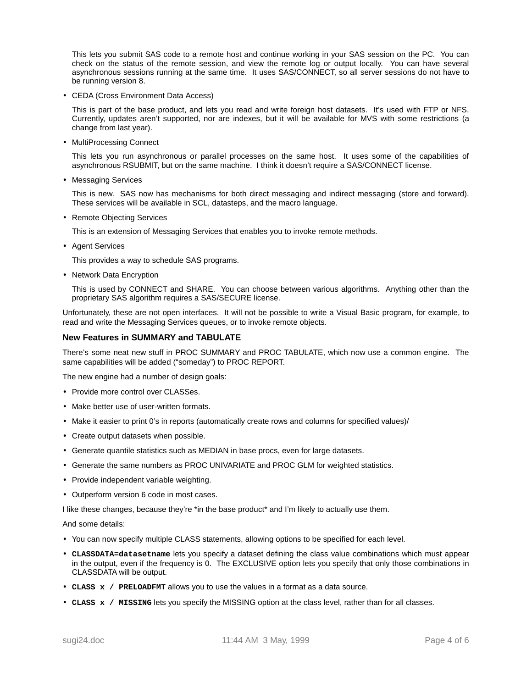This lets you submit SAS code to a remote host and continue working in your SAS session on the PC. You can check on the status of the remote session, and view the remote log or output locally. You can have several asynchronous sessions running at the same time. It uses SAS/CONNECT, so all server sessions do not have to be running version 8.

• CEDA (Cross Environment Data Access)

This is part of the base product, and lets you read and write foreign host datasets. It's used with FTP or NFS. Currently, updates aren't supported, nor are indexes, but it will be available for MVS with some restrictions (a change from last year).

• MultiProcessing Connect

This lets you run asynchronous or parallel processes on the same host. It uses some of the capabilities of asynchronous RSUBMIT, but on the same machine. I think it doesn't require a SAS/CONNECT license.

• Messaging Services

This is new. SAS now has mechanisms for both direct messaging and indirect messaging (store and forward). These services will be available in SCL, datasteps, and the macro language.

• Remote Objecting Services

This is an extension of Messaging Services that enables you to invoke remote methods.

• Agent Services

This provides a way to schedule SAS programs.

• Network Data Encryption

This is used by CONNECT and SHARE. You can choose between various algorithms. Anything other than the proprietary SAS algorithm requires a SAS/SECURE license.

Unfortunately, these are not open interfaces. It will not be possible to write a Visual Basic program, for example, to read and write the Messaging Services queues, or to invoke remote objects.

## **New Features in SUMMARY and TABULATE**

There's some neat new stuff in PROC SUMMARY and PROC TABULATE, which now use a common engine. The same capabilities will be added ("someday") to PROC REPORT.

The new engine had a number of design goals:

- Provide more control over CLASSes.
- Make better use of user-written formats.
- Make it easier to print 0's in reports (automatically create rows and columns for specified values)/
- Create output datasets when possible.
- Generate quantile statistics such as MEDIAN in base procs, even for large datasets.
- Generate the same numbers as PROC UNIVARIATE and PROC GLM for weighted statistics.
- Provide independent variable weighting.
- Outperform version 6 code in most cases.

I like these changes, because they're \*in the base product\* and I'm likely to actually use them.

And some details:

- You can now specify multiple CLASS statements, allowing options to be specified for each level.
- **CLASSDATA=datasetname** lets you specify a dataset defining the class value combinations which must appear in the output, even if the frequency is 0. The EXCLUSIVE option lets you specify that only those combinations in CLASSDATA will be output.
- **CLASS x / PRELOADFMT** allows you to use the values in a format as a data source.
- **CLASS x / MISSING** lets you specify the MISSING option at the class level, rather than for all classes.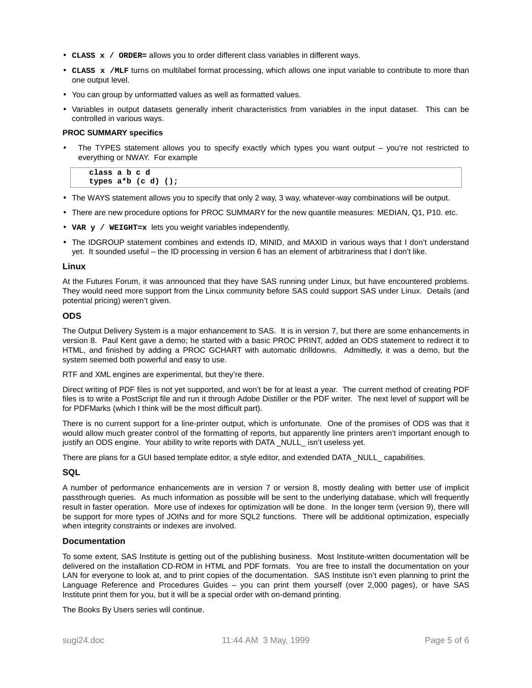- **CLASS x / ORDER=** allows you to order different class variables in different ways.
- **CLASS x /MLF** turns on multilabel format processing, which allows one input variable to contribute to more than one output level.
- You can group by unformatted values as well as formatted values.
- Variables in output datasets generally inherit characteristics from variables in the input dataset. This can be controlled in various ways.

#### **PROC SUMMARY specifics**

The TYPES statement allows you to specify exactly which types you want output – you're not restricted to everything or NWAY. For example

```
classabcd
types a*b (c d) ();
```
- The WAYS statement allows you to specify that only 2 way, 3 way, whatever-way combinations will be output.
- There are new procedure options for PROC SUMMARY for the new quantile measures: MEDIAN, Q1, P10. etc.
- **VAR y / WEIGHT=x** lets you weight variables independently.
- The IDGROUP statement combines and extends ID, MINID, and MAXID in various ways that I don't understand yet. It sounded useful – the ID processing in version 6 has an element of arbitrariness that I don't like.

#### **Linux**

At the Futures Forum, it was announced that they have SAS running under Linux, but have encountered problems. They would need more support from the Linux community before SAS could support SAS under Linux. Details (and potential pricing) weren't given.

## **ODS**

The Output Delivery System is a major enhancement to SAS. It is in version 7, but there are some enhancements in version 8. Paul Kent gave a demo; he started with a basic PROC PRINT, added an ODS statement to redirect it to HTML, and finished by adding a PROC GCHART with automatic drilldowns. Admittedly, it was a demo, but the system seemed both powerful and easy to use.

RTF and XML engines are experimental, but they're there.

Direct writing of PDF files is not yet supported, and won't be for at least a year. The current method of creating PDF files is to write a PostScript file and run it through Adobe Distiller or the PDF writer. The next level of support will be for PDFMarks (which I think will be the most difficult part).

There is no current support for a line-printer output, which is unfortunate. One of the promises of ODS was that it would allow much greater control of the formatting of reports, but apparently line printers aren't important enough to justify an ODS engine. Your ability to write reports with DATA \_NULL\_ isn't useless yet.

There are plans for a GUI based template editor, a style editor, and extended DATA \_NULL\_ capabilities.

# **SQL**

A number of performance enhancements are in version 7 or version 8, mostly dealing with better use of implicit passthrough queries. As much information as possible will be sent to the underlying database, which will frequently result in faster operation. More use of indexes for optimization will be done. In the longer term (version 9), there will be support for more types of JOINs and for more SQL2 functions. There will be additional optimization, especially when integrity constraints or indexes are involved.

## **Documentation**

To some extent, SAS Institute is getting out of the publishing business. Most Institute-written documentation will be delivered on the installation CD-ROM in HTML and PDF formats. You are free to install the documentation on your LAN for everyone to look at, and to print copies of the documentation. SAS Institute isn't even planning to print the Language Reference and Procedures Guides – you can print them yourself (over 2,000 pages), or have SAS Institute print them for you, but it will be a special order with on-demand printing.

The Books By Users series will continue.